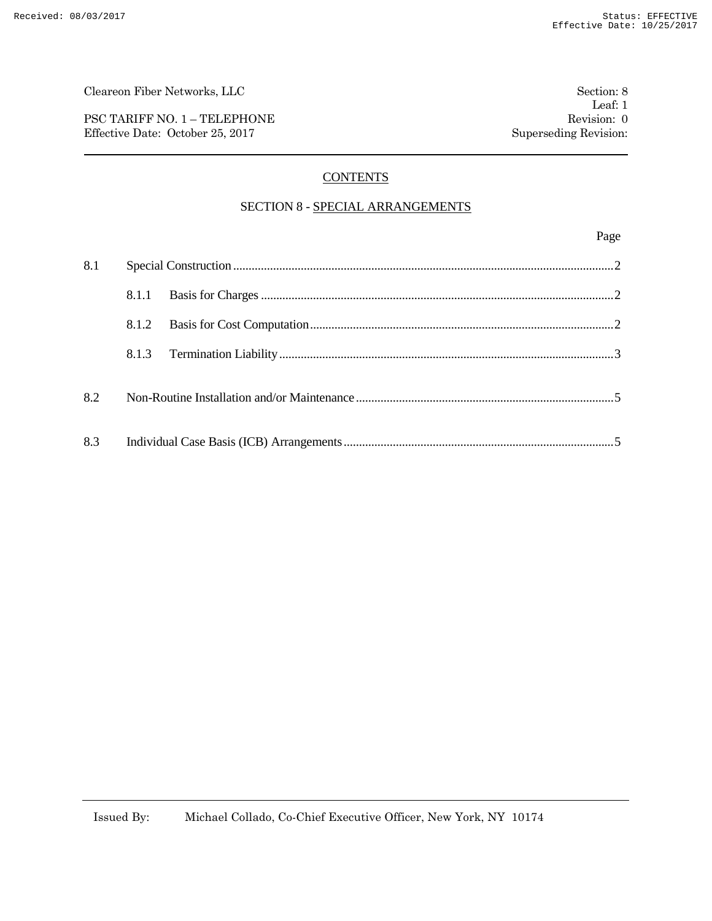PSC TARIFF NO. 1 – TELEPHONE Revision: 0 Effective Date: October 25, 2017 Superseding Revision:

# **CONTENTS**

## SECTION 8 - SPECIAL ARRANGEMENTS

#### Page

| 8.1 |       |  |  |
|-----|-------|--|--|
|     | 8.1.1 |  |  |
|     | 8.1.2 |  |  |
|     | 8.1.3 |  |  |
| 8.2 |       |  |  |
| 8.3 |       |  |  |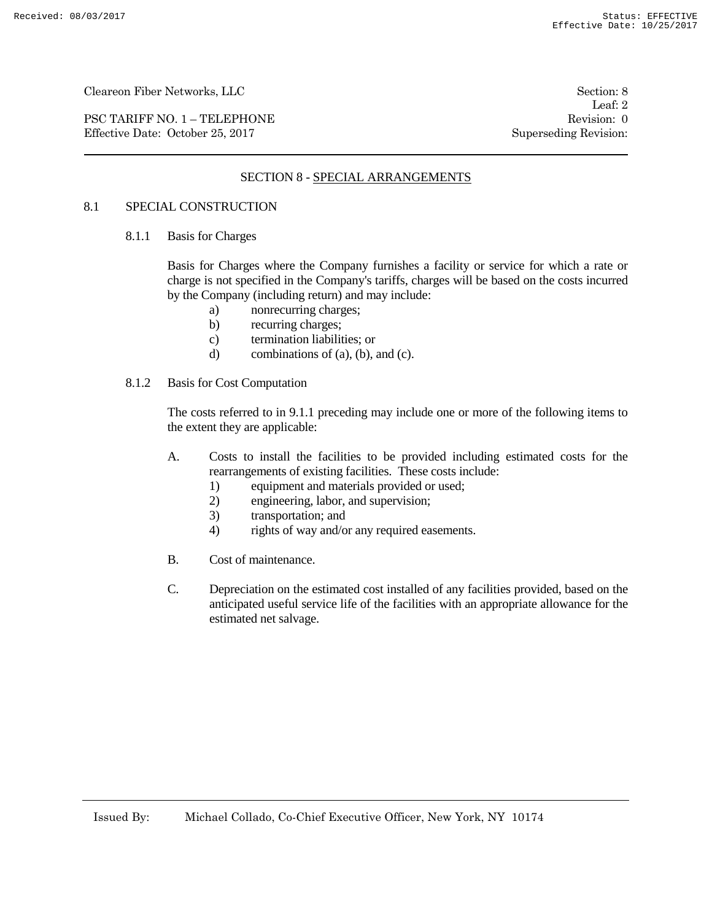PSC TARIFF NO. 1 – TELEPHONE Revision: 0<br>
Effective Date: October 25, 2017 Superseding Revision: 0 Effective Date: October 25, 2017

Leaf: 2

# SECTION 8 - SPECIAL ARRANGEMENTS

#### 8.1 SPECIAL CONSTRUCTION

8.1.1 Basis for Charges

Basis for Charges where the Company furnishes a facility or service for which a rate or charge is not specified in the Company's tariffs, charges will be based on the costs incurred by the Company (including return) and may include:

- a) nonrecurring charges;
- b) recurring charges;
- c) termination liabilities; or
- d) combinations of (a), (b), and (c).

#### 8.1.2 Basis for Cost Computation

The costs referred to in 9.1.1 preceding may include one or more of the following items to the extent they are applicable:

- A. Costs to install the facilities to be provided including estimated costs for the rearrangements of existing facilities. These costs include:
	- 1) equipment and materials provided or used;
	- 2) engineering, labor, and supervision;
	- 3) transportation; and
	- 4) rights of way and/or any required easements.
- B. Cost of maintenance.
- C. Depreciation on the estimated cost installed of any facilities provided, based on the anticipated useful service life of the facilities with an appropriate allowance for the estimated net salvage.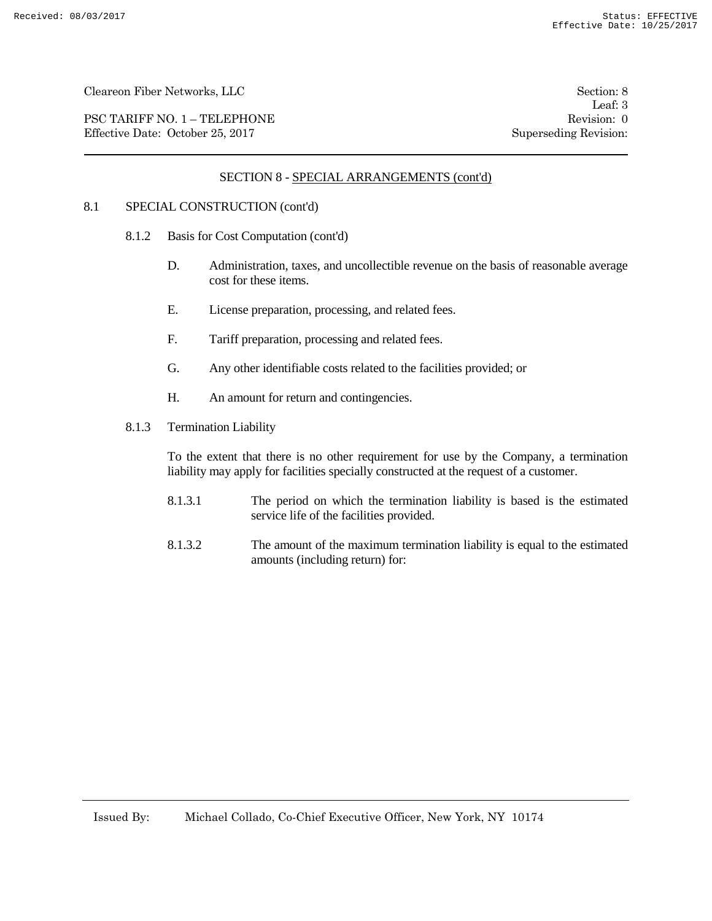PSC TARIFF NO. 1 – TELEPHONE Revision: 0 Effective Date: October 25, 2017 Superseding Revision:

Leaf: 3

## SECTION 8 - SPECIAL ARRANGEMENTS (cont'd)

#### 8.1 SPECIAL CONSTRUCTION (cont'd)

- 8.1.2 Basis for Cost Computation (cont'd)
	- D. Administration, taxes, and uncollectible revenue on the basis of reasonable average cost for these items.
	- E. License preparation, processing, and related fees.
	- F. Tariff preparation, processing and related fees.
	- G. Any other identifiable costs related to the facilities provided; or
	- H. An amount for return and contingencies.
- 8.1.3 Termination Liability

To the extent that there is no other requirement for use by the Company, a termination liability may apply for facilities specially constructed at the request of a customer.

- 8.1.3.1 The period on which the termination liability is based is the estimated service life of the facilities provided.
- 8.1.3.2 The amount of the maximum termination liability is equal to the estimated amounts (including return) for: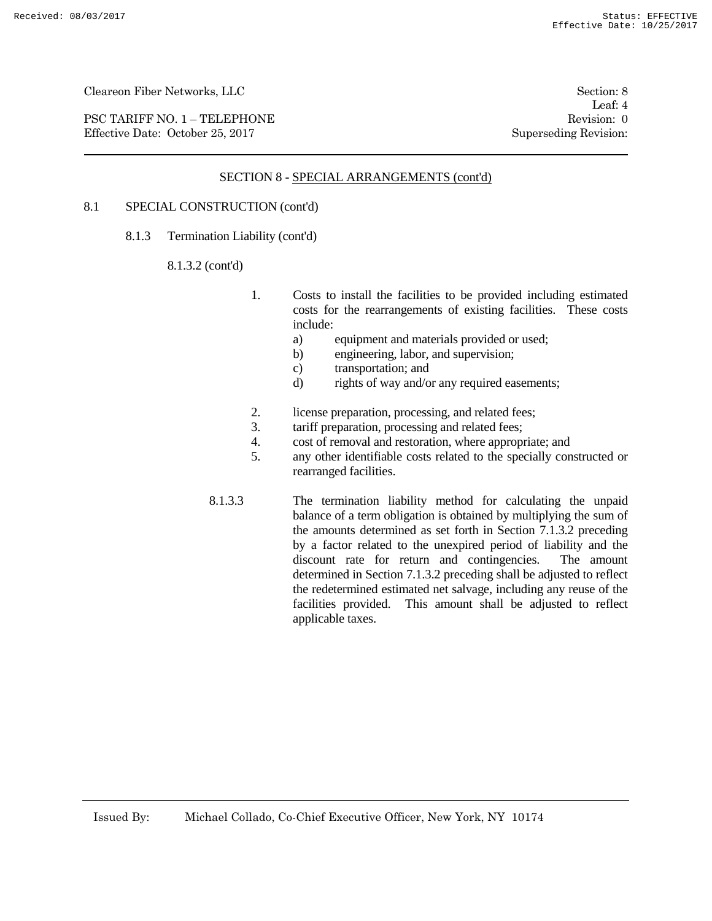PSC TARIFF NO. 1 – TELEPHONE Revision: 0<br>
Effective Date: October 25, 2017 Superseding Revision: 0 Effective Date: October 25, 2017

Leaf: 4

#### SECTION 8 - SPECIAL ARRANGEMENTS (cont'd)

### 8.1 SPECIAL CONSTRUCTION (cont'd)

8.1.3 Termination Liability (cont'd)

#### 8.1.3.2 (cont'd)

- 1. Costs to install the facilities to be provided including estimated costs for the rearrangements of existing facilities. These costs include:
	- a) equipment and materials provided or used;
	- b) engineering, labor, and supervision;
	- c) transportation; and
	- d) rights of way and/or any required easements;
- 2. license preparation, processing, and related fees;
- 3. tariff preparation, processing and related fees;
- 4. cost of removal and restoration, where appropriate; and
- 5. any other identifiable costs related to the specially constructed or rearranged facilities.
- 8.1.3.3 The termination liability method for calculating the unpaid balance of a term obligation is obtained by multiplying the sum of the amounts determined as set forth in Section 7.1.3.2 preceding by a factor related to the unexpired period of liability and the discount rate for return and contingencies. The amount determined in Section 7.1.3.2 preceding shall be adjusted to reflect the redetermined estimated net salvage, including any reuse of the facilities provided. This amount shall be adjusted to reflect applicable taxes.